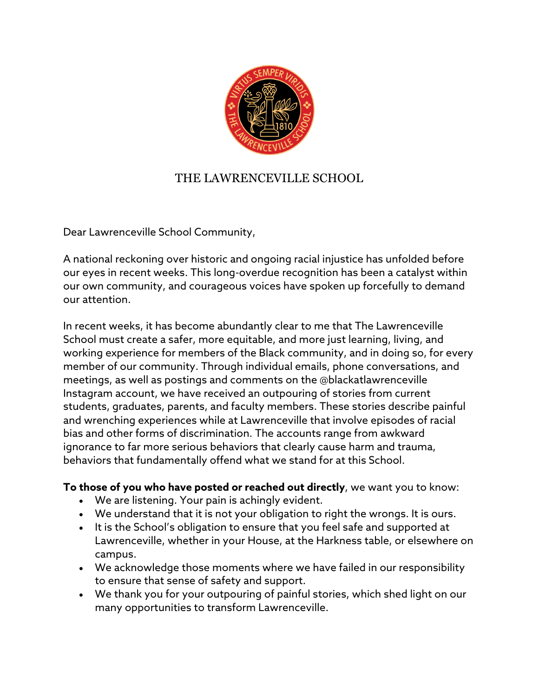

## THE LAWRENCEVILLE SCHOOL

Dear Lawrenceville School Community,

A national reckoning over historic and ongoing racial injustice has unfolded before our eyes in recent weeks. This long-overdue recognition has been a catalyst within our own community, and courageous voices have spoken up forcefully to demand our attention.

In recent weeks, it has become abundantly clear to me that The Lawrenceville School must create a safer, more equitable, and more just learning, living, and working experience for members of the Black community, and in doing so, for every member of our community. Through individual emails, phone conversations, and meetings, as well as postings and comments on the @blackatlawrenceville Instagram account, we have received an outpouring of stories from current students, graduates, parents, and faculty members. These stories describe painful and wrenching experiences while at Lawrenceville that involve episodes of racial bias and other forms of discrimination. The accounts range from awkward ignorance to far more serious behaviors that clearly cause harm and trauma, behaviors that fundamentally offend what we stand for at this School.

**To those of you who have posted or reached out directly**, we want you to know:

- We are listening. Your pain is achingly evident.
- We understand that it is not your obligation to right the wrongs. It is ours.
- It is the School's obligation to ensure that you feel safe and supported at Lawrenceville, whether in your House, at the Harkness table, or elsewhere on campus.
- We acknowledge those moments where we have failed in our responsibility to ensure that sense of safety and support.
- We thank you for your outpouring of painful stories, which shed light on our many opportunities to transform Lawrenceville.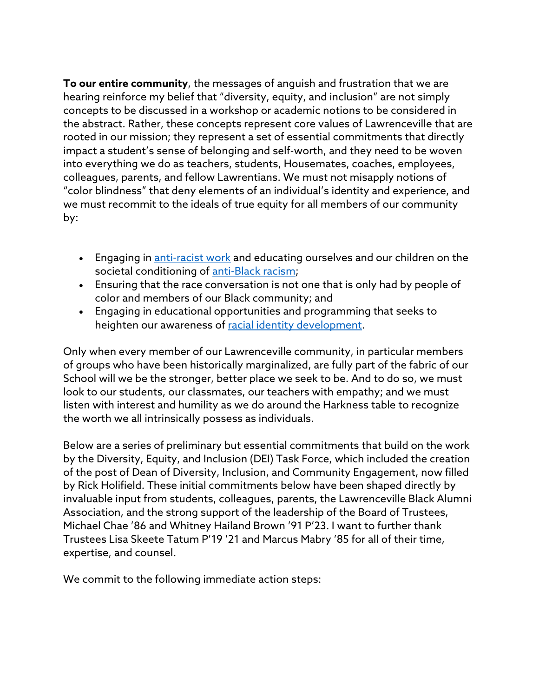**To our entire community**, the messages of anguish and frustration that we are hearing reinforce my belief that "diversity, equity, and inclusion" are not simply concepts to be discussed in a workshop or academic notions to be considered in the abstract. Rather, these concepts represent core values of Lawrenceville that are rooted in our mission; they represent a set of essential commitments that directly impact a student's sense of belonging and self-worth, and they need to be woven into everything we do as teachers, students, Housemates, coaches, employees, colleagues, parents, and fellow Lawrentians. We must not misapply notions of "color blindness" that deny elements of an individual's identity and experience, and we must recommit to the ideals of true equity for all members of our community by:

- Engaging in [anti-racist work](https://bbk12e1-cdn.myschoolcdn.com/ftpimages/928/misc/misc_188447.pdf) and educating ourselves and our children on the societal conditioning of [anti-Black racism;](https://bbk12e1-cdn.myschoolcdn.com/ftpimages/928/misc/misc_188446.pdf)
- Ensuring that the race conversation is not one that is only had by people of color and members of our Black community; and
- Engaging in educational opportunities and programming that seeks to heighten our awareness of [racial identity development.](https://www.teachingforchange.org/wp-content/uploads/2012/08/ec_whiteracialidentity_english.pdf)

Only when every member of our Lawrenceville community, in particular members of groups who have been historically marginalized, are fully part of the fabric of our School will we be the stronger, better place we seek to be. And to do so, we must look to our students, our classmates, our teachers with empathy; and we must listen with interest and humility as we do around the Harkness table to recognize the worth we all intrinsically possess as individuals.

Below are a series of preliminary but essential commitments that build on the work by the Diversity, Equity, and Inclusion (DEI) Task Force, which included the creation of the post of Dean of Diversity, Inclusion, and Community Engagement, now filled by Rick Holifield. These initial commitments below have been shaped directly by invaluable input from students, colleagues, parents, the Lawrenceville Black Alumni Association, and the strong support of the leadership of the Board of Trustees, Michael Chae '86 and Whitney Hailand Brown '91 P'23. I want to further thank Trustees Lisa Skeete Tatum P'19 '21 and Marcus Mabry '85 for all of their time, expertise, and counsel.

We commit to the following immediate action steps: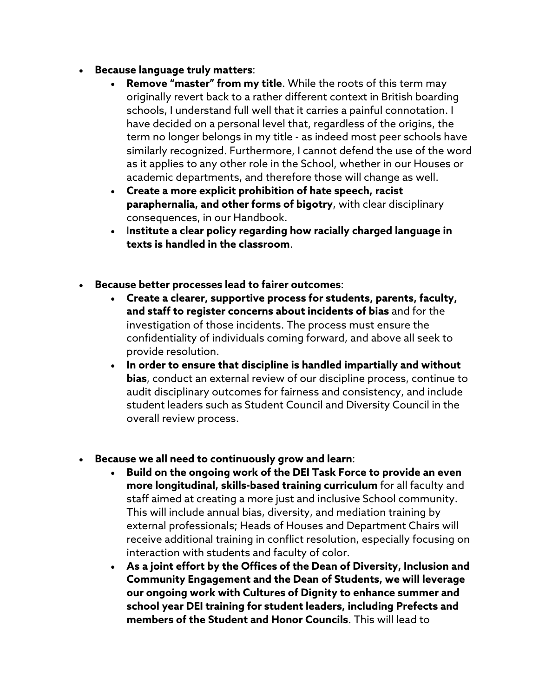- **Because language truly matters**:
	- **Remove "master" from my title**. While the roots of this term may originally revert back to a rather different context in British boarding schools, I understand full well that it carries a painful connotation. I have decided on a personal level that, regardless of the origins, the term no longer belongs in my title - as indeed most peer schools have similarly recognized. Furthermore, I cannot defend the use of the word as it applies to any other role in the School, whether in our Houses or academic departments, and therefore those will change as well.
	- **Create a more explicit prohibition of hate speech, racist paraphernalia, and other forms of bigotry**, with clear disciplinary consequences, in our Handbook.
	- I**nstitute a clear policy regarding how racially charged language in texts is handled in the classroom**.
- **Because better processes lead to fairer outcomes**:
	- **Create a clearer, supportive process for students, parents, faculty, and staff to register concerns about incidents of bias** and for the investigation of those incidents. The process must ensure the confidentiality of individuals coming forward, and above all seek to provide resolution.
	- **In order to ensure that discipline is handled impartially and without bias**, conduct an external review of our discipline process, continue to audit disciplinary outcomes for fairness and consistency, and include student leaders such as Student Council and Diversity Council in the overall review process.
- **Because we all need to continuously grow and learn**:
	- **Build on the ongoing work of the DEI Task Force to provide an even more longitudinal, skills-based training curriculum** for all faculty and staff aimed at creating a more just and inclusive School community. This will include annual bias, diversity, and mediation training by external professionals; Heads of Houses and Department Chairs will receive additional training in conflict resolution, especially focusing on interaction with students and faculty of color.
	- **As a joint effort by the Offices of the Dean of Diversity, Inclusion and Community Engagement and the Dean of Students, we will leverage our ongoing work with Cultures of Dignity to enhance summer and school year DEI training for student leaders, including Prefects and members of the Student and Honor Councils**. This will lead to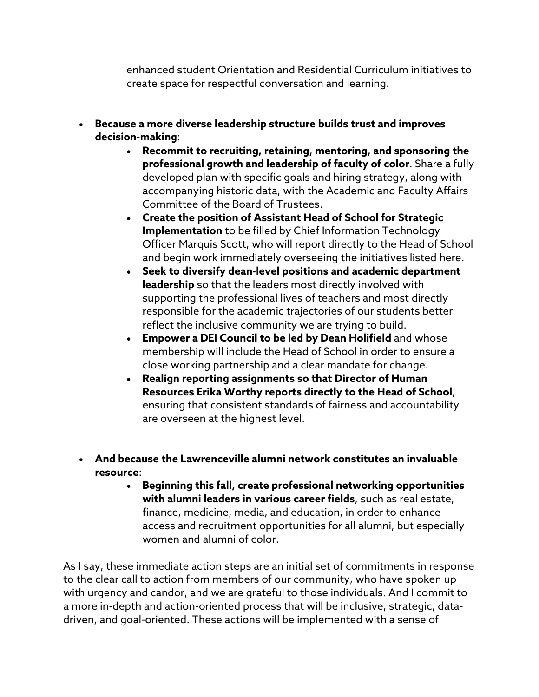enhanced student Orientation and Residential Curriculum initiatives to create space for respectful conversation and learning.

- **Because a more diverse leadership structure builds trust and improves decision-making**:
	- **Recommit to recruiting, retaining, mentoring, and sponsoring the professional growth and leadership of faculty of color**. Share a fully developed plan with specific goals and hiring strategy, along with accompanying historic data, with the Academic and Faculty Affairs Committee of the Board of Trustees.
	- **Create the position of Assistant Head of School for Strategic Implementation** to be filled by Chief Information Technology Officer Marquis Scott, who will report directly to the Head of School and begin work immediately overseeing the initiatives listed here.
	- **Seek to diversify dean-level positions and academic department leadership** so that the leaders most directly involved with supporting the professional lives of teachers and most directly responsible for the academic trajectories of our students better reflect the inclusive community we are trying to build.
	- **Empower a DEI Council to be led by Dean Holifield** and whose membership will include the Head of School in order to ensure a close working partnership and a clear mandate for change.
	- **Realign reporting assignments so that Director of Human Resources Erika Worthy reports directly to the Head of School**, ensuring that consistent standards of fairness and accountability are overseen at the highest level.
- **And because the Lawrenceville alumni network constitutes an invaluable resource**:
	- **Beginning this fall, create professional networking opportunities with alumni leaders in various career fields**, such as real estate, finance, medicine, media, and education, in order to enhance access and recruitment opportunities for all alumni, but especially women and alumni of color.

As I say, these immediate action steps are an initial set of commitments in response to the clear call to action from members of our community, who have spoken up with urgency and candor, and we are grateful to those individuals. And I commit to a more in-depth and action-oriented process that will be inclusive, strategic, datadriven, and goal-oriented. These actions will be implemented with a sense of